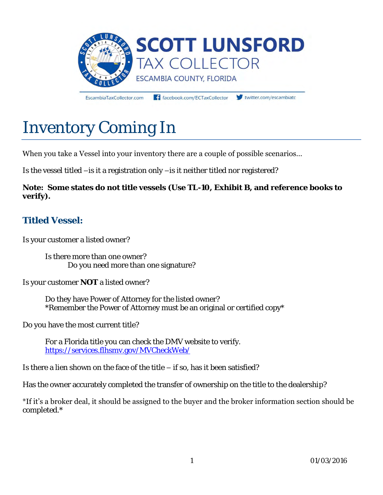

EscambiaTaxCollector.com

facebook.com/ECTaxCollector

twitter.com/escambiato

# Inventory Coming In

#### When you take a Vessel into your inventory there are a couple of possible scenarios…

Is the vessel titled –is it a registration only –is it neither titled nor registered?

**Note: Some states do not title vessels (Use TL-10, Exhibit B, and reference books to verify).** 

#### **Titled Vessel:**

Is your customer a listed owner?

Is there more than one owner? Do you need more than one signature?

Is your customer **NOT** a listed owner?

 Do they have Power of Attorney for the listed owner? \*Remember the Power of Attorney must be an original or certified copy\*

Do you have the most current title?

For a Florida title you can check the DMV website to verify. <https://services.flhsmv.gov/MVCheckWeb/>

Is there a lien shown on the face of the title – if so, has it been satisfied?

Has the owner accurately completed the transfer of ownership on the title to the dealership?

\*If it's a broker deal, it should be assigned to the buyer and the broker information section should be completed.\*